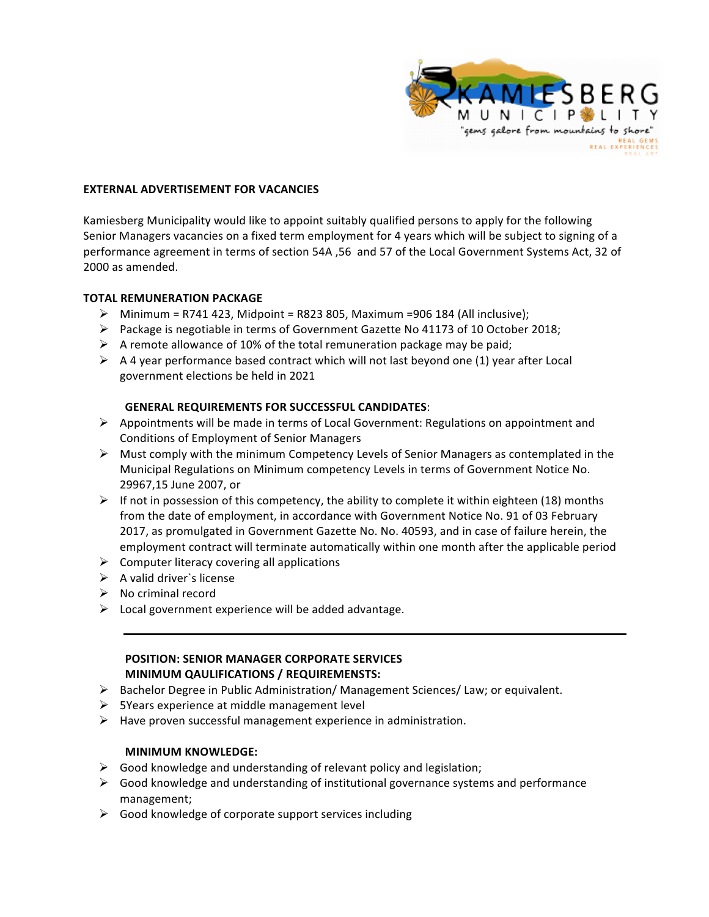

#### **EXTERNAL ADVERTISEMENT FOR VACANCIES**

Kamiesberg Municipality would like to appoint suitably qualified persons to apply for the following Senior Managers vacancies on a fixed term employment for 4 years which will be subject to signing of a performance agreement in terms of section 54A ,56 and 57 of the Local Government Systems Act, 32 of 2000 as amended.

#### **TOTAL REMUNERATION PACKAGE**

- $\triangleright$  Minimum = R741 423, Midpoint = R823 805, Maximum =906 184 (All inclusive);
- $\triangleright$  Package is negotiable in terms of Government Gazette No 41173 of 10 October 2018;
- $\triangleright$  A remote allowance of 10% of the total remuneration package may be paid;
- $\triangleright$  A 4 year performance based contract which will not last beyond one (1) year after Local government elections be held in 2021

#### **GENERAL REQUIREMENTS FOR SUCCESSFUL CANDIDATES:**

- $\triangleright$  Appointments will be made in terms of Local Government: Regulations on appointment and Conditions of Employment of Senior Managers
- $\triangleright$  Must comply with the minimum Competency Levels of Senior Managers as contemplated in the Municipal Regulations on Minimum competency Levels in terms of Government Notice No. 29967,15 June 2007, or
- $\triangleright$  If not in possession of this competency, the ability to complete it within eighteen (18) months from the date of employment, in accordance with Government Notice No. 91 of 03 February 2017, as promulgated in Government Gazette No. No. 40593, and in case of failure herein, the employment contract will terminate automatically within one month after the applicable period
- $\triangleright$  Computer literacy covering all applications
- $\triangleright$  A valid driver's license
- $\triangleright$  No criminal record
- $\triangleright$  Local government experience will be added advantage.

# **POSITION: SENIOR MANAGER CORPORATE SERVICES MINIMUM QAULIFICATIONS / REQUIREMENSTS:**

- $\triangleright$  Bachelor Degree in Public Administration/ Management Sciences/ Law; or equivalent.
- $\triangleright$  5Years experience at middle management level
- $\triangleright$  Have proven successful management experience in administration.

#### **MINIMUM KNOWLEDGE:**

- $\triangleright$  Good knowledge and understanding of relevant policy and legislation;
- $\triangleright$  Good knowledge and understanding of institutional governance systems and performance management;
- $\triangleright$  Good knowledge of corporate support services including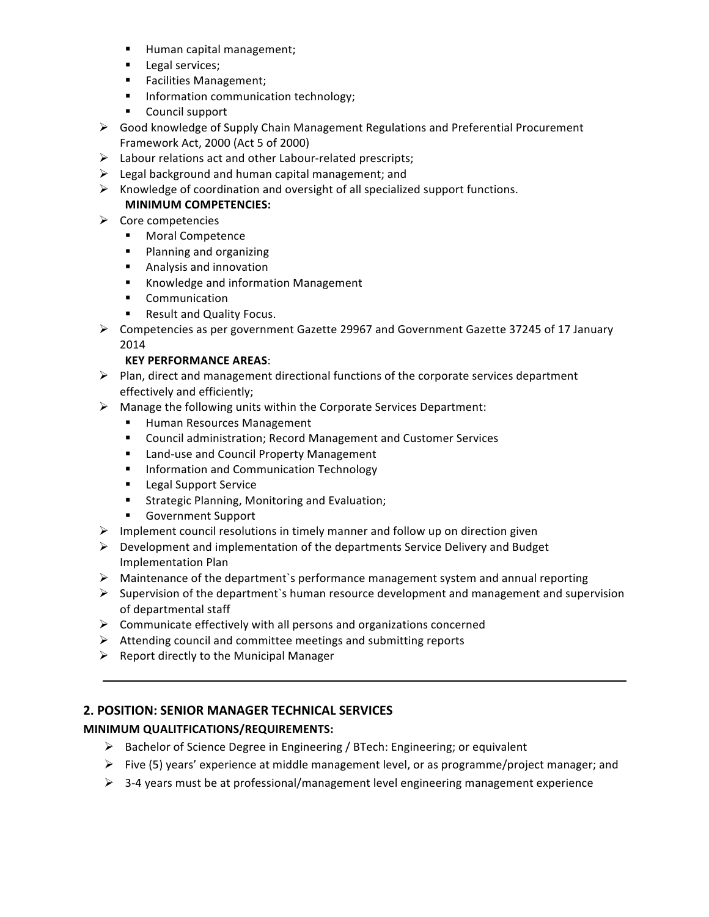- **■** Human capital management;
- **•** Legal services;
- Facilities Management;
- **■** Information communication technology;
- Council support
- $\triangleright$  Good knowledge of Supply Chain Management Regulations and Preferential Procurement Framework Act, 2000 (Act 5 of 2000)
- $\triangleright$  Labour relations act and other Labour-related prescripts;
- $\triangleright$  Legal background and human capital management; and
- $\triangleright$  Knowledge of coordination and oversight of all specialized support functions.

# **MINIMUM COMPETENCIES:**

- $\triangleright$  Core competencies
	- Moral Competence
	- Planning and organizing
	- **■** Analysis and innovation
	- Knowledge and information Management
	- § Communication
	- Result and Quality Focus.
- $\triangleright$  Competencies as per government Gazette 29967 and Government Gazette 37245 of 17 January 2014

### **KEY PERFORMANCE AREAS**:

- $\triangleright$  Plan, direct and management directional functions of the corporate services department effectively and efficiently;
- $\triangleright$  Manage the following units within the Corporate Services Department:
	- Human Resources Management
	- Council administration; Record Management and Customer Services
	- Land-use and Council Property Management
	- Information and Communication Technology
	- Legal Support Service
	- Strategic Planning, Monitoring and Evaluation;
	- Government Support
- $\triangleright$  Implement council resolutions in timely manner and follow up on direction given
- $\triangleright$  Development and implementation of the departments Service Delivery and Budget Implementation Plan
- $\triangleright$  Maintenance of the department's performance management system and annual reporting
- $\triangleright$  Supervision of the department's human resource development and management and supervision of departmental staff
- $\triangleright$  Communicate effectively with all persons and organizations concerned
- $\triangleright$  Attending council and committee meetings and submitting reports
- $\triangleright$  Report directly to the Municipal Manager

# **2. POSITION: SENIOR MANAGER TECHNICAL SERVICES**

# **MINIMUM QUALITFICATIONS/REQUIREMENTS:**

- $\triangleright$  Bachelor of Science Degree in Engineering / BTech: Engineering; or equivalent
- Five  $(5)$  years' experience at middle management level, or as programme/project manager; and
- $\triangleright$  3-4 years must be at professional/management level engineering management experience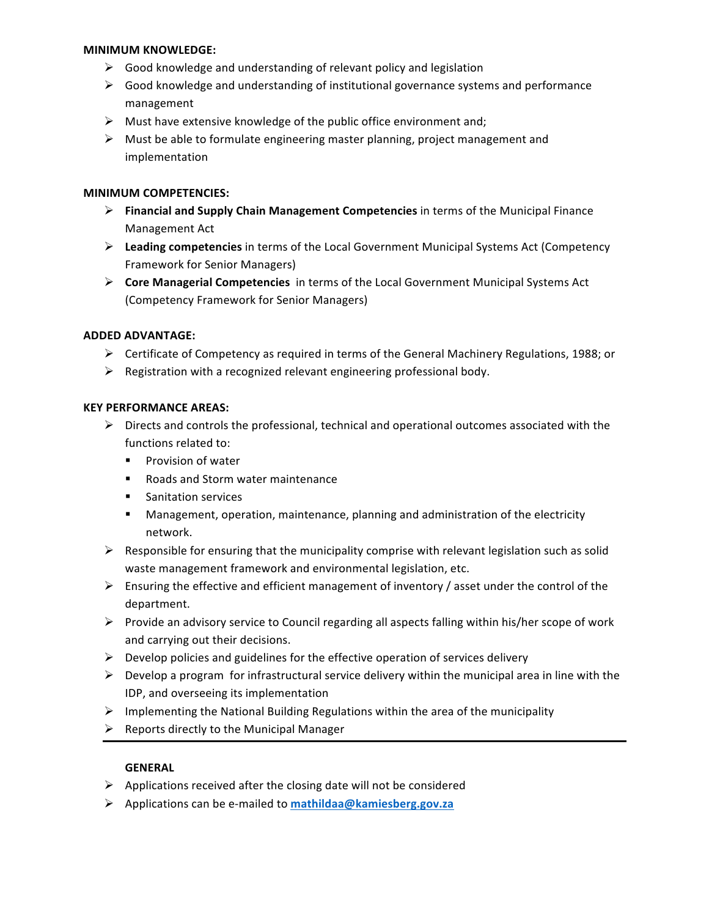#### **MINIMUM KNOWLEDGE:**

- $\triangleright$  Good knowledge and understanding of relevant policy and legislation
- $\triangleright$  Good knowledge and understanding of institutional governance systems and performance management
- $\triangleright$  Must have extensive knowledge of the public office environment and;
- $\triangleright$  Must be able to formulate engineering master planning, project management and implementation

### **MINIMUM COMPETENCIES:**

- **►** Financial and Supply Chain Management Competencies in terms of the Municipal Finance Management Act
- **►** Leading competencies in terms of the Local Government Municipal Systems Act (Competency Framework for Senior Managers)
- **►** Core Managerial Competencies in terms of the Local Government Municipal Systems Act (Competency Framework for Senior Managers)

### **ADDED ADVANTAGE:**

- $\triangleright$  Certificate of Competency as required in terms of the General Machinery Regulations, 1988; or
- $\triangleright$  Registration with a recognized relevant engineering professional body.

### **KEY PERFORMANCE AREAS:**

- $\triangleright$  Directs and controls the professional, technical and operational outcomes associated with the functions related to:
	- Provision of water
	- Roads and Storm water maintenance
	- Sanitation services
	- **■** Management, operation, maintenance, planning and administration of the electricity network.
- $\triangleright$  Responsible for ensuring that the municipality comprise with relevant legislation such as solid waste management framework and environmental legislation, etc.
- $\triangleright$  Ensuring the effective and efficient management of inventory / asset under the control of the department.
- $\triangleright$  Provide an advisory service to Council regarding all aspects falling within his/her scope of work and carrying out their decisions.
- $\triangleright$  Develop policies and guidelines for the effective operation of services delivery
- $\triangleright$  Develop a program for infrastructural service delivery within the municipal area in line with the IDP, and overseeing its implementation
- $\triangleright$  Implementing the National Building Regulations within the area of the municipality
- $\triangleright$  Reports directly to the Municipal Manager

### **GENERAL**

- $\triangleright$  Applications received after the closing date will not be considered
- Ø Applications can be e-mailed to **mathildaa@kamiesberg.gov.za**